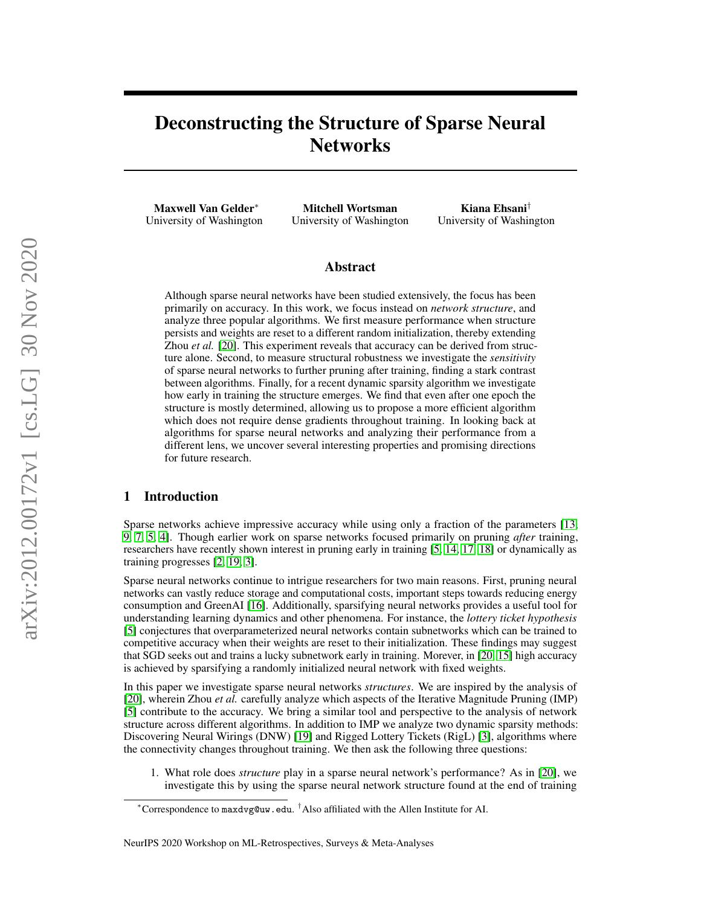# Deconstructing the Structure of Sparse Neural **Networks**

Maxwell Van Gelder<sup>∗</sup> University of Washington

Mitchell Wortsman University of Washington

Kiana Ehsani† University of Washington

### Abstract

Although sparse neural networks have been studied extensively, the focus has been primarily on accuracy. In this work, we focus instead on *network structure*, and analyze three popular algorithms. We first measure performance when structure persists and weights are reset to a different random initialization, thereby extending Zhou *et al.* [\[20\]](#page-5-0). This experiment reveals that accuracy can be derived from structure alone. Second, to measure structural robustness we investigate the *sensitivity* of sparse neural networks to further pruning after training, finding a stark contrast between algorithms. Finally, for a recent dynamic sparsity algorithm we investigate how early in training the structure emerges. We find that even after one epoch the structure is mostly determined, allowing us to propose a more efficient algorithm which does not require dense gradients throughout training. In looking back at algorithms for sparse neural networks and analyzing their performance from a different lens, we uncover several interesting properties and promising directions for future research.

# 1 Introduction

Sparse networks achieve impressive accuracy while using only a fraction of the parameters [\[13,](#page-4-0) [9,](#page-4-1) [7,](#page-4-2) [5,](#page-4-3) [4\]](#page-4-4). Though earlier work on sparse networks focused primarily on pruning *after* training, researchers have recently shown interest in pruning early in training [\[5,](#page-4-3) [14,](#page-4-5) [17,](#page-5-1) [18\]](#page-5-2) or dynamically as training progresses [\[2,](#page-4-6) [19,](#page-5-3) [3\]](#page-4-7).

Sparse neural networks continue to intrigue researchers for two main reasons. First, pruning neural networks can vastly reduce storage and computational costs, important steps towards reducing energy consumption and GreenAI [\[16\]](#page-5-4). Additionally, sparsifying neural networks provides a useful tool for understanding learning dynamics and other phenomena. For instance, the *lottery ticket hypothesis* [\[5\]](#page-4-3) conjectures that overparameterized neural networks contain subnetworks which can be trained to competitive accuracy when their weights are reset to their initialization. These findings may suggest that SGD seeks out and trains a lucky subnetwork early in training. Morever, in [\[20,](#page-5-0) [15\]](#page-5-5) high accuracy is achieved by sparsifying a randomly initialized neural network with fixed weights.

In this paper we investigate sparse neural networks *structures*. We are inspired by the analysis of [\[20\]](#page-5-0), wherein Zhou *et al.* carefully analyze which aspects of the Iterative Magnitude Pruning (IMP) [\[5\]](#page-4-3) contribute to the accuracy. We bring a similar tool and perspective to the analysis of network structure across different algorithms. In addition to IMP we analyze two dynamic sparsity methods: Discovering Neural Wirings (DNW) [\[19\]](#page-5-3) and Rigged Lottery Tickets (RigL) [\[3\]](#page-4-7), algorithms where the connectivity changes throughout training. We then ask the following three questions:

1. What role does *structure* play in a sparse neural network's performance? As in [\[20\]](#page-5-0), we investigate this by using the sparse neural network structure found at the end of training

<sup>∗</sup>Correspondence to maxdvg@uw.edu. †Also affiliated with the Allen Institute for AI.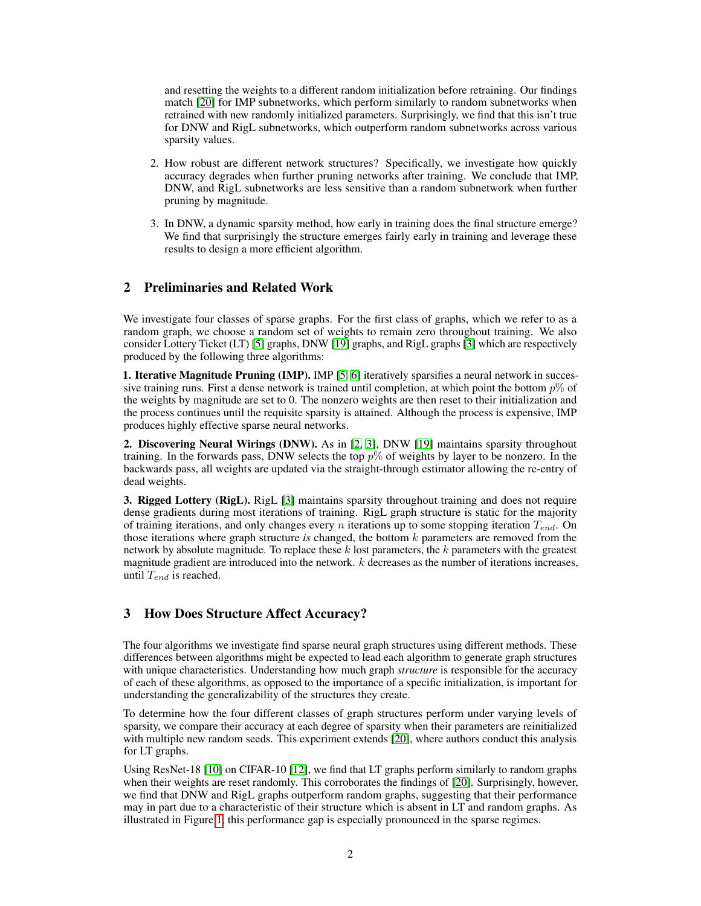and resetting the weights to a different random initialization before retraining. Our findings match [\[20\]](#page-5-0) for IMP subnetworks, which perform similarly to random subnetworks when retrained with new randomly initialized parameters. Surprisingly, we find that this isn't true for DNW and RigL subnetworks, which outperform random subnetworks across various sparsity values.

- 2. How robust are different network structures? Specifically, we investigate how quickly accuracy degrades when further pruning networks after training. We conclude that IMP, DNW, and RigL subnetworks are less sensitive than a random subnetwork when further pruning by magnitude.
- 3. In DNW, a dynamic sparsity method, how early in training does the final structure emerge? We find that surprisingly the structure emerges fairly early in training and leverage these results to design a more efficient algorithm.

# 2 Preliminaries and Related Work

We investigate four classes of sparse graphs. For the first class of graphs, which we refer to as a random graph, we choose a random set of weights to remain zero throughout training. We also consider Lottery Ticket (LT) [\[5\]](#page-4-3) graphs, DNW [\[19\]](#page-5-3) graphs, and RigL graphs [\[3\]](#page-4-7) which are respectively produced by the following three algorithms:

1. Iterative Magnitude Pruning (IMP). IMP [\[5,](#page-4-3) [6\]](#page-4-8) iteratively sparsifies a neural network in successive training runs. First a dense network is trained until completion, at which point the bottom  $p\%$  of the weights by magnitude are set to 0. The nonzero weights are then reset to their initialization and the process continues until the requisite sparsity is attained. Although the process is expensive, IMP produces highly effective sparse neural networks.

2. Discovering Neural Wirings (DNW). As in [\[2,](#page-4-6) [3\]](#page-4-7), DNW [\[19\]](#page-5-3) maintains sparsity throughout training. In the forwards pass, DNW selects the top  $p\%$  of weights by layer to be nonzero. In the backwards pass, all weights are updated via the straight-through estimator allowing the re-entry of dead weights.

3. Rigged Lottery (RigL). RigL [\[3\]](#page-4-7) maintains sparsity throughout training and does not require dense gradients during most iterations of training. RigL graph structure is static for the majority of training iterations, and only changes every n iterations up to some stopping iteration  $T_{end}$ . On those iterations where graph structure *is* changed, the bottom k parameters are removed from the network by absolute magnitude. To replace these  $k$  lost parameters, the  $k$  parameters with the greatest magnitude gradient are introduced into the network.  $k$  decreases as the number of iterations increases, until  $T_{end}$  is reached.

#### 3 How Does Structure Affect Accuracy?

The four algorithms we investigate find sparse neural graph structures using different methods. These differences between algorithms might be expected to lead each algorithm to generate graph structures with unique characteristics. Understanding how much graph *structure* is responsible for the accuracy of each of these algorithms, as opposed to the importance of a specific initialization, is important for understanding the generalizability of the structures they create.

To determine how the four different classes of graph structures perform under varying levels of sparsity, we compare their accuracy at each degree of sparsity when their parameters are reinitialized with multiple new random seeds. This experiment extends [\[20\]](#page-5-0), where authors conduct this analysis for LT graphs.

Using ResNet-18 [\[10\]](#page-4-9) on CIFAR-10 [\[12\]](#page-4-10), we find that LT graphs perform similarly to random graphs when their weights are reset randomly. This corroborates the findings of [\[20\]](#page-5-0). Surprisingly, however, we find that DNW and RigL graphs outperform random graphs, suggesting that their performance may in part due to a characteristic of their structure which is absent in LT and random graphs. As illustrated in Figure [1,](#page-2-0) this performance gap is especially pronounced in the sparse regimes.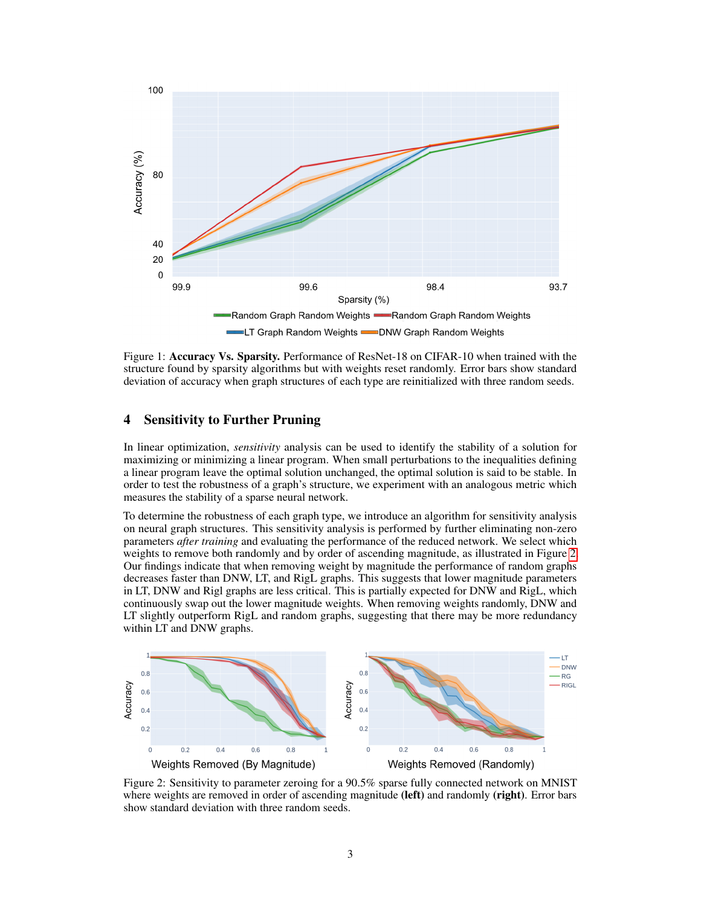<span id="page-2-0"></span>

Figure 1: Accuracy Vs. Sparsity. Performance of ResNet-18 on CIFAR-10 when trained with the structure found by sparsity algorithms but with weights reset randomly. Error bars show standard deviation of accuracy when graph structures of each type are reinitialized with three random seeds.

## 4 Sensitivity to Further Pruning

In linear optimization, *sensitivity* analysis can be used to identify the stability of a solution for maximizing or minimizing a linear program. When small perturbations to the inequalities defining a linear program leave the optimal solution unchanged, the optimal solution is said to be stable. In order to test the robustness of a graph's structure, we experiment with an analogous metric which measures the stability of a sparse neural network.

To determine the robustness of each graph type, we introduce an algorithm for sensitivity analysis on neural graph structures. This sensitivity analysis is performed by further eliminating non-zero parameters *after training* and evaluating the performance of the reduced network. We select which weights to remove both randomly and by order of ascending magnitude, as illustrated in Figure [2.](#page-2-1) Our findings indicate that when removing weight by magnitude the performance of random graphs decreases faster than DNW, LT, and RigL graphs. This suggests that lower magnitude parameters in LT, DNW and Rigl graphs are less critical. This is partially expected for DNW and RigL, which continuously swap out the lower magnitude weights. When removing weights randomly, DNW and LT slightly outperform RigL and random graphs, suggesting that there may be more redundancy within LT and DNW graphs.

<span id="page-2-1"></span>

Figure 2: Sensitivity to parameter zeroing for a 90.5% sparse fully connected network on MNIST where weights are removed in order of ascending magnitude (left) and randomly (right). Error bars show standard deviation with three random seeds.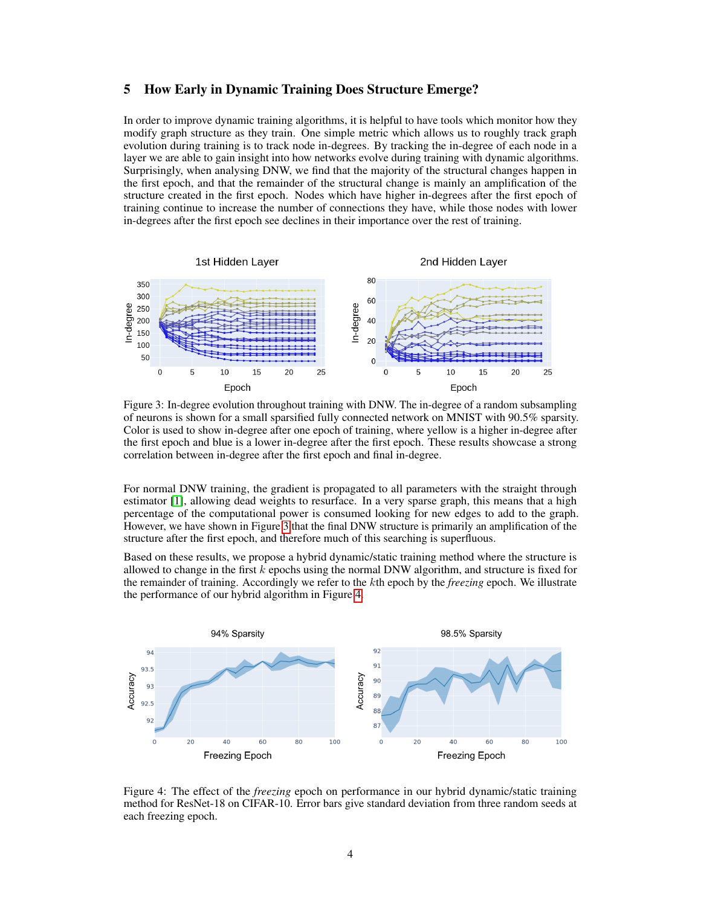## 5 How Early in Dynamic Training Does Structure Emerge?

In order to improve dynamic training algorithms, it is helpful to have tools which monitor how they modify graph structure as they train. One simple metric which allows us to roughly track graph evolution during training is to track node in-degrees. By tracking the in-degree of each node in a layer we are able to gain insight into how networks evolve during training with dynamic algorithms. Surprisingly, when analysing DNW, we find that the majority of the structural changes happen in the first epoch, and that the remainder of the structural change is mainly an amplification of the structure created in the first epoch. Nodes which have higher in-degrees after the first epoch of training continue to increase the number of connections they have, while those nodes with lower in-degrees after the first epoch see declines in their importance over the rest of training.

<span id="page-3-0"></span>

Figure 3: In-degree evolution throughout training with DNW. The in-degree of a random subsampling of neurons is shown for a small sparsified fully connected network on MNIST with 90.5% sparsity. Color is used to show in-degree after one epoch of training, where yellow is a higher in-degree after the first epoch and blue is a lower in-degree after the first epoch. These results showcase a strong correlation between in-degree after the first epoch and final in-degree.

For normal DNW training, the gradient is propagated to all parameters with the straight through estimator [\[1\]](#page-4-11), allowing dead weights to resurface. In a very sparse graph, this means that a high percentage of the computational power is consumed looking for new edges to add to the graph. However, we have shown in Figure [3](#page-3-0) that the final DNW structure is primarily an amplification of the structure after the first epoch, and therefore much of this searching is superfluous.

Based on these results, we propose a hybrid dynamic/static training method where the structure is allowed to change in the first  $k$  epochs using the normal DNW algorithm, and structure is fixed for the remainder of training. Accordingly we refer to the kth epoch by the *freezing* epoch. We illustrate the performance of our hybrid algorithm in Figure [4.](#page-3-1)

<span id="page-3-1"></span>

Figure 4: The effect of the *freezing* epoch on performance in our hybrid dynamic/static training method for ResNet-18 on CIFAR-10. Error bars give standard deviation from three random seeds at each freezing epoch.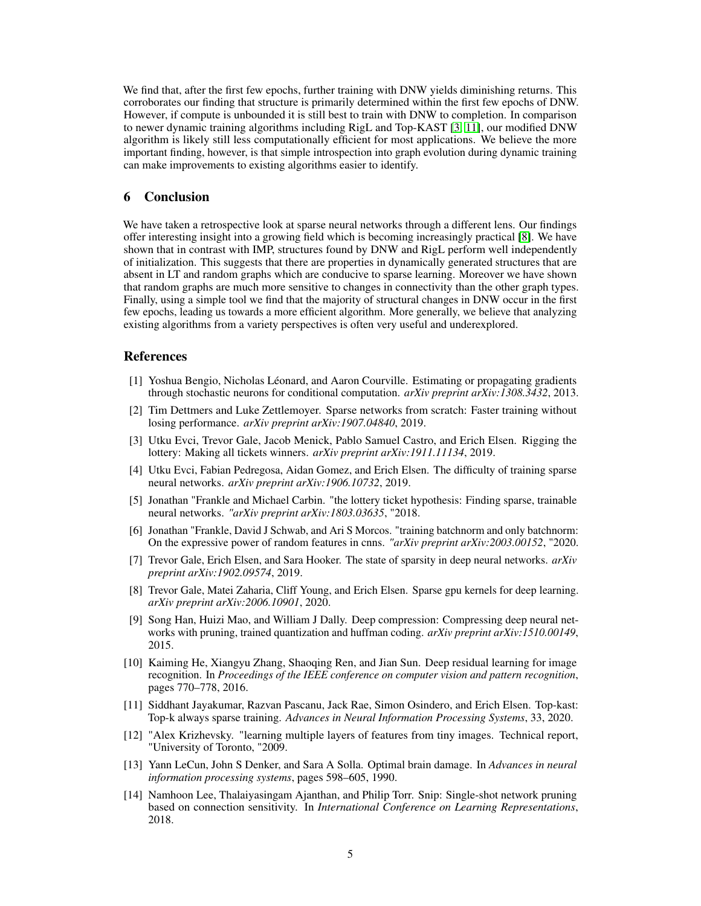We find that, after the first few epochs, further training with DNW yields diminishing returns. This corroborates our finding that structure is primarily determined within the first few epochs of DNW. However, if compute is unbounded it is still best to train with DNW to completion. In comparison to newer dynamic training algorithms including RigL and Top-KAST [\[3,](#page-4-7) [11\]](#page-4-12), our modified DNW algorithm is likely still less computationally efficient for most applications. We believe the more important finding, however, is that simple introspection into graph evolution during dynamic training can make improvements to existing algorithms easier to identify.

#### 6 Conclusion

We have taken a retrospective look at sparse neural networks through a different lens. Our findings offer interesting insight into a growing field which is becoming increasingly practical [\[8\]](#page-4-13). We have shown that in contrast with IMP, structures found by DNW and RigL perform well independently of initialization. This suggests that there are properties in dynamically generated structures that are absent in LT and random graphs which are conducive to sparse learning. Moreover we have shown that random graphs are much more sensitive to changes in connectivity than the other graph types. Finally, using a simple tool we find that the majority of structural changes in DNW occur in the first few epochs, leading us towards a more efficient algorithm. More generally, we believe that analyzing existing algorithms from a variety perspectives is often very useful and underexplored.

### References

- <span id="page-4-11"></span>[1] Yoshua Bengio, Nicholas Léonard, and Aaron Courville. Estimating or propagating gradients through stochastic neurons for conditional computation. *arXiv preprint arXiv:1308.3432*, 2013.
- <span id="page-4-6"></span>[2] Tim Dettmers and Luke Zettlemoyer. Sparse networks from scratch: Faster training without losing performance. *arXiv preprint arXiv:1907.04840*, 2019.
- <span id="page-4-7"></span>[3] Utku Evci, Trevor Gale, Jacob Menick, Pablo Samuel Castro, and Erich Elsen. Rigging the lottery: Making all tickets winners. *arXiv preprint arXiv:1911.11134*, 2019.
- <span id="page-4-4"></span>[4] Utku Evci, Fabian Pedregosa, Aidan Gomez, and Erich Elsen. The difficulty of training sparse neural networks. *arXiv preprint arXiv:1906.10732*, 2019.
- <span id="page-4-3"></span>[5] Jonathan "Frankle and Michael Carbin. "the lottery ticket hypothesis: Finding sparse, trainable neural networks. *"arXiv preprint arXiv:1803.03635*, "2018.
- <span id="page-4-8"></span>[6] Jonathan "Frankle, David J Schwab, and Ari S Morcos. "training batchnorm and only batchnorm: On the expressive power of random features in cnns. *"arXiv preprint arXiv:2003.00152*, "2020.
- <span id="page-4-2"></span>[7] Trevor Gale, Erich Elsen, and Sara Hooker. The state of sparsity in deep neural networks. *arXiv preprint arXiv:1902.09574*, 2019.
- <span id="page-4-13"></span>[8] Trevor Gale, Matei Zaharia, Cliff Young, and Erich Elsen. Sparse gpu kernels for deep learning. *arXiv preprint arXiv:2006.10901*, 2020.
- <span id="page-4-1"></span>[9] Song Han, Huizi Mao, and William J Dally. Deep compression: Compressing deep neural networks with pruning, trained quantization and huffman coding. *arXiv preprint arXiv:1510.00149*, 2015.
- <span id="page-4-9"></span>[10] Kaiming He, Xiangyu Zhang, Shaoqing Ren, and Jian Sun. Deep residual learning for image recognition. In *Proceedings of the IEEE conference on computer vision and pattern recognition*, pages 770–778, 2016.
- <span id="page-4-12"></span>[11] Siddhant Jayakumar, Razvan Pascanu, Jack Rae, Simon Osindero, and Erich Elsen. Top-kast: Top-k always sparse training. *Advances in Neural Information Processing Systems*, 33, 2020.
- <span id="page-4-10"></span>[12] "Alex Krizhevsky. "learning multiple layers of features from tiny images. Technical report, "University of Toronto, "2009.
- <span id="page-4-0"></span>[13] Yann LeCun, John S Denker, and Sara A Solla. Optimal brain damage. In *Advances in neural information processing systems*, pages 598–605, 1990.
- <span id="page-4-5"></span>[14] Namhoon Lee, Thalaiyasingam Ajanthan, and Philip Torr. Snip: Single-shot network pruning based on connection sensitivity. In *International Conference on Learning Representations*, 2018.